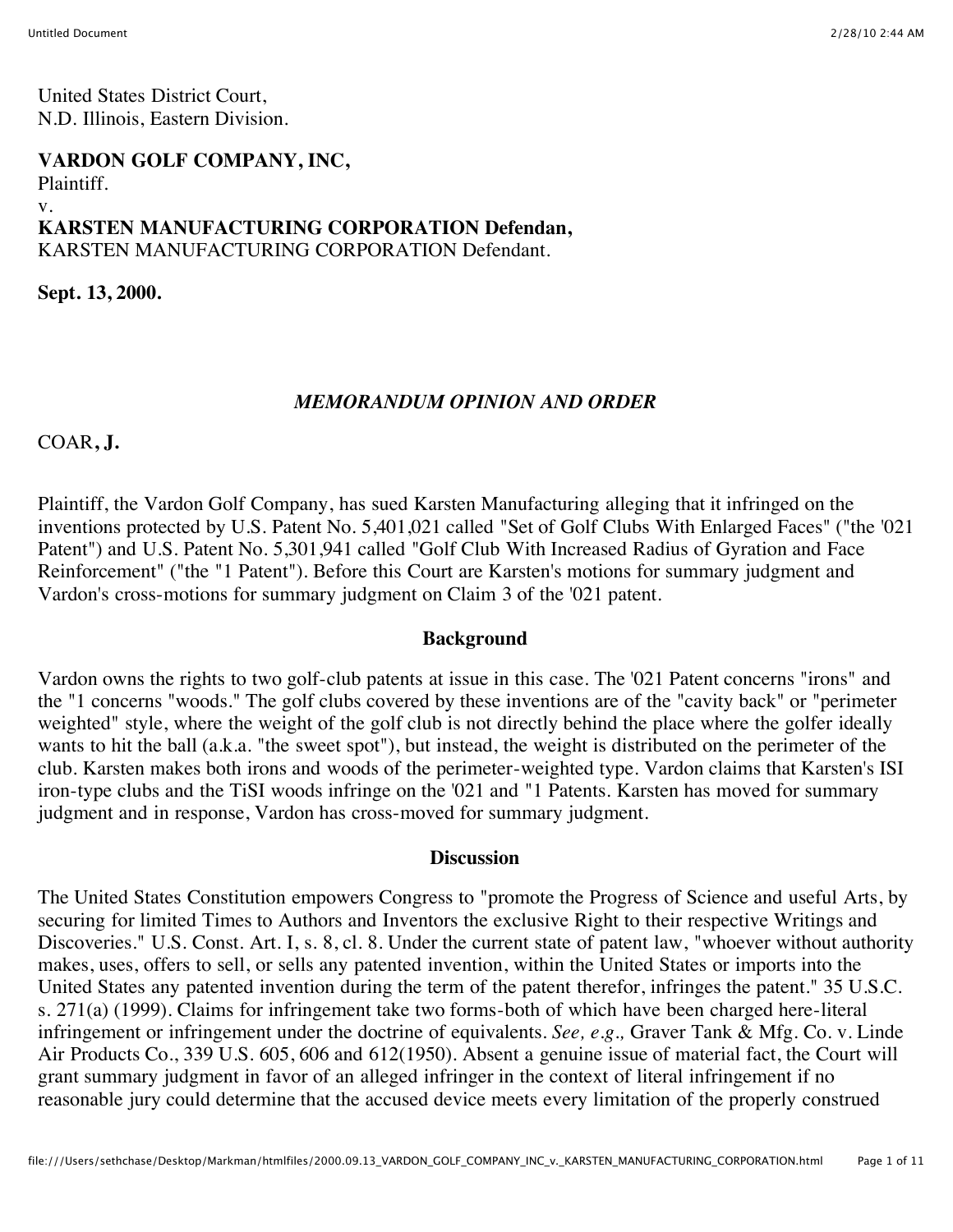United States District Court, N.D. Illinois, Eastern Division.

#### **VARDON GOLF COMPANY, INC,**

Plaintiff.

#### v.

#### **KARSTEN MANUFACTURING CORPORATION Defendan,** KARSTEN MANUFACTURING CORPORATION Defendant.

**Sept. 13, 2000.**

## *MEMORANDUM OPINION AND ORDER*

COAR**, J.**

Plaintiff, the Vardon Golf Company, has sued Karsten Manufacturing alleging that it infringed on the inventions protected by U.S. Patent No. 5,401,021 called "Set of Golf Clubs With Enlarged Faces" ("the '021 Patent") and U.S. Patent No. 5,301,941 called "Golf Club With Increased Radius of Gyration and Face Reinforcement" ("the "1 Patent"). Before this Court are Karsten's motions for summary judgment and Vardon's cross-motions for summary judgment on Claim 3 of the '021 patent.

#### **Background**

Vardon owns the rights to two golf-club patents at issue in this case. The '021 Patent concerns "irons" and the "1 concerns "woods." The golf clubs covered by these inventions are of the "cavity back" or "perimeter weighted" style, where the weight of the golf club is not directly behind the place where the golfer ideally wants to hit the ball (a.k.a. "the sweet spot"), but instead, the weight is distributed on the perimeter of the club. Karsten makes both irons and woods of the perimeter-weighted type. Vardon claims that Karsten's ISI iron-type clubs and the TiSI woods infringe on the '021 and "1 Patents. Karsten has moved for summary judgment and in response, Vardon has cross-moved for summary judgment.

#### **Discussion**

The United States Constitution empowers Congress to "promote the Progress of Science and useful Arts, by securing for limited Times to Authors and Inventors the exclusive Right to their respective Writings and Discoveries." U.S. Const. Art. I, s. 8, cl. 8. Under the current state of patent law, "whoever without authority makes, uses, offers to sell, or sells any patented invention, within the United States or imports into the United States any patented invention during the term of the patent therefor, infringes the patent." 35 U.S.C. s. 271(a) (1999). Claims for infringement take two forms-both of which have been charged here-literal infringement or infringement under the doctrine of equivalents. *See, e.g.,* Graver Tank & Mfg. Co. v. Linde Air Products Co., 339 U.S. 605, 606 and 612(1950). Absent a genuine issue of material fact, the Court will grant summary judgment in favor of an alleged infringer in the context of literal infringement if no reasonable jury could determine that the accused device meets every limitation of the properly construed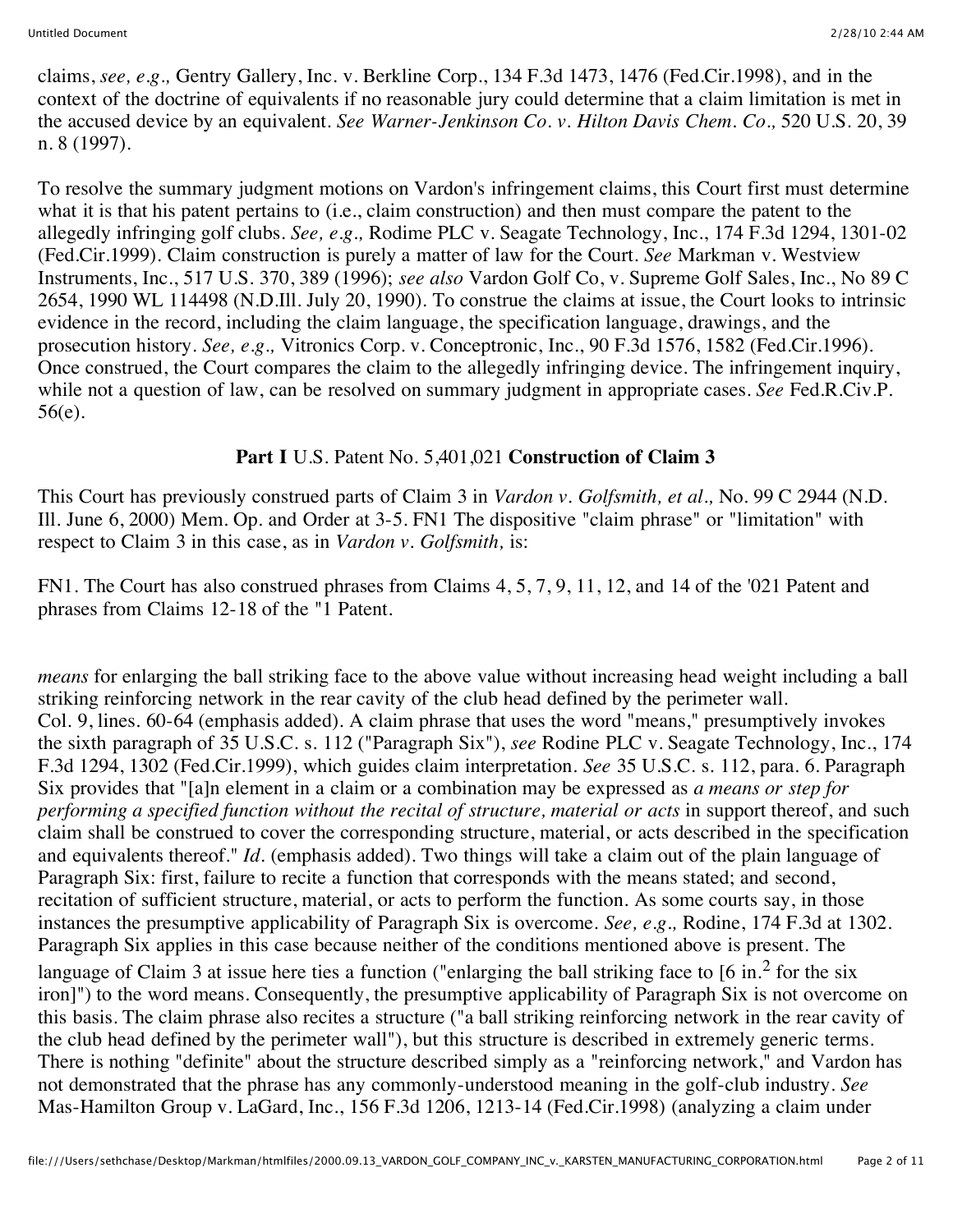claims, *see, e.g.,* Gentry Gallery, Inc. v. Berkline Corp., 134 F.3d 1473, 1476 (Fed.Cir.1998), and in the context of the doctrine of equivalents if no reasonable jury could determine that a claim limitation is met in the accused device by an equivalent. *See Warner-Jenkinson Co. v. Hilton Davis Chem. Co.,* 520 U.S. 20, 39 n. 8 (1997).

To resolve the summary judgment motions on Vardon's infringement claims, this Court first must determine what it is that his patent pertains to (i.e., claim construction) and then must compare the patent to the allegedly infringing golf clubs. *See, e.g.,* Rodime PLC v. Seagate Technology, Inc., 174 F.3d 1294, 1301-02 (Fed.Cir.1999). Claim construction is purely a matter of law for the Court. *See* Markman v. Westview Instruments, Inc., 517 U.S. 370, 389 (1996); *see also* Vardon Golf Co, v. Supreme Golf Sales, Inc., No 89 C 2654, 1990 WL 114498 (N.D.Ill. July 20, 1990). To construe the claims at issue, the Court looks to intrinsic evidence in the record, including the claim language, the specification language, drawings, and the prosecution history. *See, e.g.,* Vitronics Corp. v. Conceptronic, Inc., 90 F.3d 1576, 1582 (Fed.Cir.1996). Once construed, the Court compares the claim to the allegedly infringing device. The infringement inquiry, while not a question of law, can be resolved on summary judgment in appropriate cases. *See* Fed.R.Civ.P. 56(e).

## **Part I** U.S. Patent No. 5,401,021 **Construction of Claim 3**

This Court has previously construed parts of Claim 3 in *Vardon v. Golfsmith, et al.,* No. 99 C 2944 (N.D. Ill. June 6, 2000) Mem. Op. and Order at 3-5. FN1 The dispositive "claim phrase" or "limitation" with respect to Claim 3 in this case, as in *Vardon v. Golfsmith,* is:

FN1. The Court has also construed phrases from Claims 4, 5, 7, 9, 11, 12, and 14 of the '021 Patent and phrases from Claims 12-18 of the "1 Patent.

*means* for enlarging the ball striking face to the above value without increasing head weight including a ball striking reinforcing network in the rear cavity of the club head defined by the perimeter wall. Col. 9, lines. 60-64 (emphasis added). A claim phrase that uses the word "means," presumptively invokes the sixth paragraph of 35 U.S.C. s. 112 ("Paragraph Six"), *see* Rodine PLC v. Seagate Technology, Inc., 174 F.3d 1294, 1302 (Fed.Cir.1999), which guides claim interpretation. *See* 35 U.S.C. s. 112, para. 6. Paragraph Six provides that "[a]n element in a claim or a combination may be expressed as *a means or step for performing a specified function without the recital of structure, material or acts* in support thereof, and such claim shall be construed to cover the corresponding structure, material, or acts described in the specification and equivalents thereof." *Id.* (emphasis added). Two things will take a claim out of the plain language of Paragraph Six: first, failure to recite a function that corresponds with the means stated; and second, recitation of sufficient structure, material, or acts to perform the function. As some courts say, in those instances the presumptive applicability of Paragraph Six is overcome. *See, e.g.,* Rodine, 174 F.3d at 1302. Paragraph Six applies in this case because neither of the conditions mentioned above is present. The language of Claim 3 at issue here ties a function ("enlarging the ball striking face to  $[6 \text{ in.}^2$  for the six iron]") to the word means. Consequently, the presumptive applicability of Paragraph Six is not overcome on this basis. The claim phrase also recites a structure ("a ball striking reinforcing network in the rear cavity of the club head defined by the perimeter wall"), but this structure is described in extremely generic terms. There is nothing "definite" about the structure described simply as a "reinforcing network," and Vardon has not demonstrated that the phrase has any commonly-understood meaning in the golf-club industry. *See* Mas-Hamilton Group v. LaGard, Inc., 156 F.3d 1206, 1213-14 (Fed.Cir.1998) (analyzing a claim under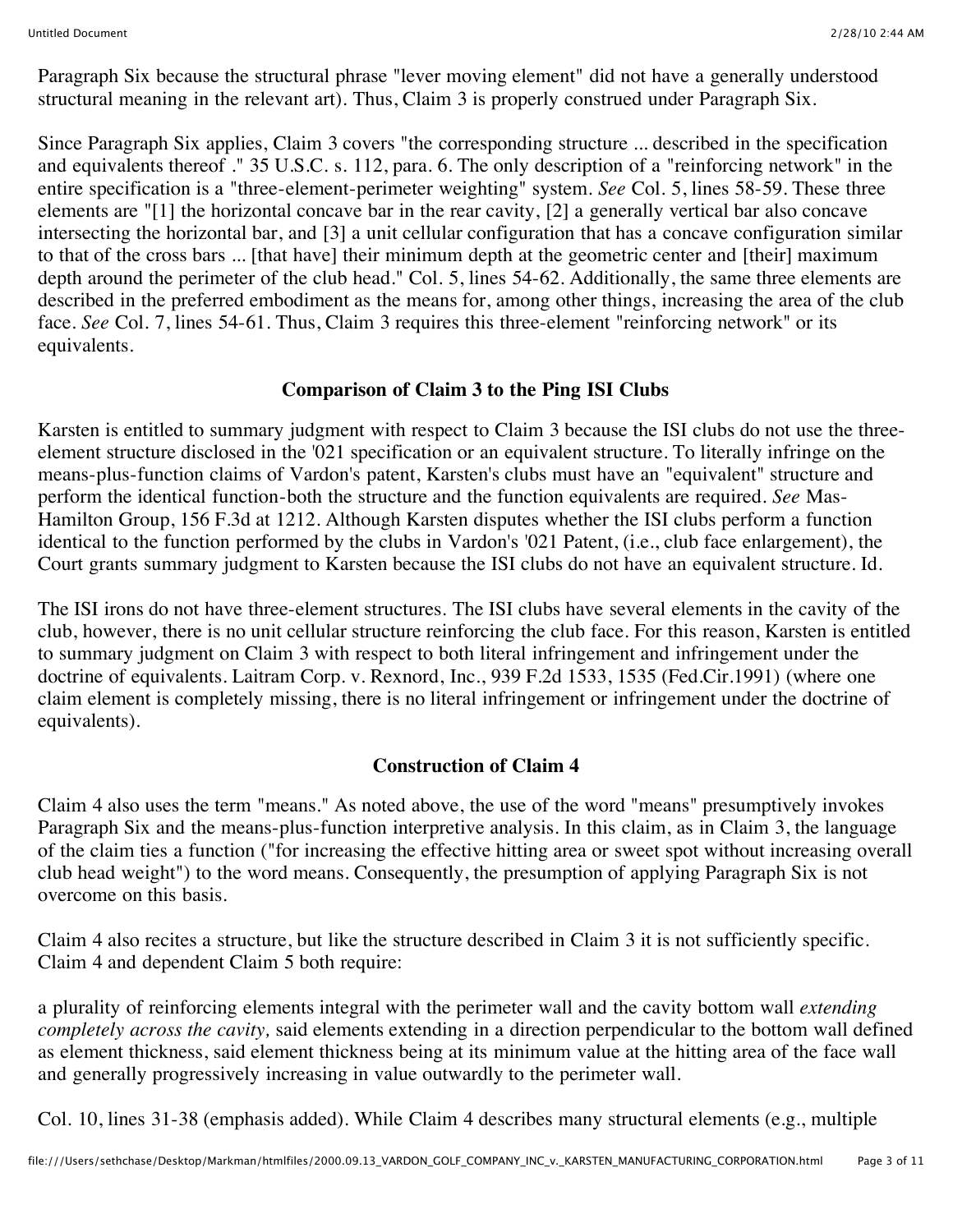Paragraph Six because the structural phrase "lever moving element" did not have a generally understood structural meaning in the relevant art). Thus, Claim 3 is properly construed under Paragraph Six.

Since Paragraph Six applies, Claim 3 covers "the corresponding structure ... described in the specification and equivalents thereof ." 35 U.S.C. s. 112, para. 6. The only description of a "reinforcing network" in the entire specification is a "three-element-perimeter weighting" system. *See* Col. 5, lines 58-59. These three elements are "[1] the horizontal concave bar in the rear cavity, [2] a generally vertical bar also concave intersecting the horizontal bar, and [3] a unit cellular configuration that has a concave configuration similar to that of the cross bars ... [that have] their minimum depth at the geometric center and [their] maximum depth around the perimeter of the club head." Col. 5, lines 54-62. Additionally, the same three elements are described in the preferred embodiment as the means for, among other things, increasing the area of the club face. *See* Col. 7, lines 54-61. Thus, Claim 3 requires this three-element "reinforcing network" or its equivalents.

## **Comparison of Claim 3 to the Ping ISI Clubs**

Karsten is entitled to summary judgment with respect to Claim 3 because the ISI clubs do not use the threeelement structure disclosed in the '021 specification or an equivalent structure. To literally infringe on the means-plus-function claims of Vardon's patent, Karsten's clubs must have an "equivalent" structure and perform the identical function-both the structure and the function equivalents are required. *See* Mas-Hamilton Group, 156 F.3d at 1212. Although Karsten disputes whether the ISI clubs perform a function identical to the function performed by the clubs in Vardon's '021 Patent, (i.e., club face enlargement), the Court grants summary judgment to Karsten because the ISI clubs do not have an equivalent structure. Id.

The ISI irons do not have three-element structures. The ISI clubs have several elements in the cavity of the club, however, there is no unit cellular structure reinforcing the club face. For this reason, Karsten is entitled to summary judgment on Claim 3 with respect to both literal infringement and infringement under the doctrine of equivalents. Laitram Corp. v. Rexnord, Inc., 939 F.2d 1533, 1535 (Fed.Cir.1991) (where one claim element is completely missing, there is no literal infringement or infringement under the doctrine of equivalents).

# **Construction of Claim 4**

Claim 4 also uses the term "means." As noted above, the use of the word "means" presumptively invokes Paragraph Six and the means-plus-function interpretive analysis. In this claim, as in Claim 3, the language of the claim ties a function ("for increasing the effective hitting area or sweet spot without increasing overall club head weight") to the word means. Consequently, the presumption of applying Paragraph Six is not overcome on this basis.

Claim 4 also recites a structure, but like the structure described in Claim 3 it is not sufficiently specific. Claim 4 and dependent Claim 5 both require:

a plurality of reinforcing elements integral with the perimeter wall and the cavity bottom wall *extending completely across the cavity,* said elements extending in a direction perpendicular to the bottom wall defined as element thickness, said element thickness being at its minimum value at the hitting area of the face wall and generally progressively increasing in value outwardly to the perimeter wall.

Col. 10, lines 31-38 (emphasis added). While Claim 4 describes many structural elements (e.g., multiple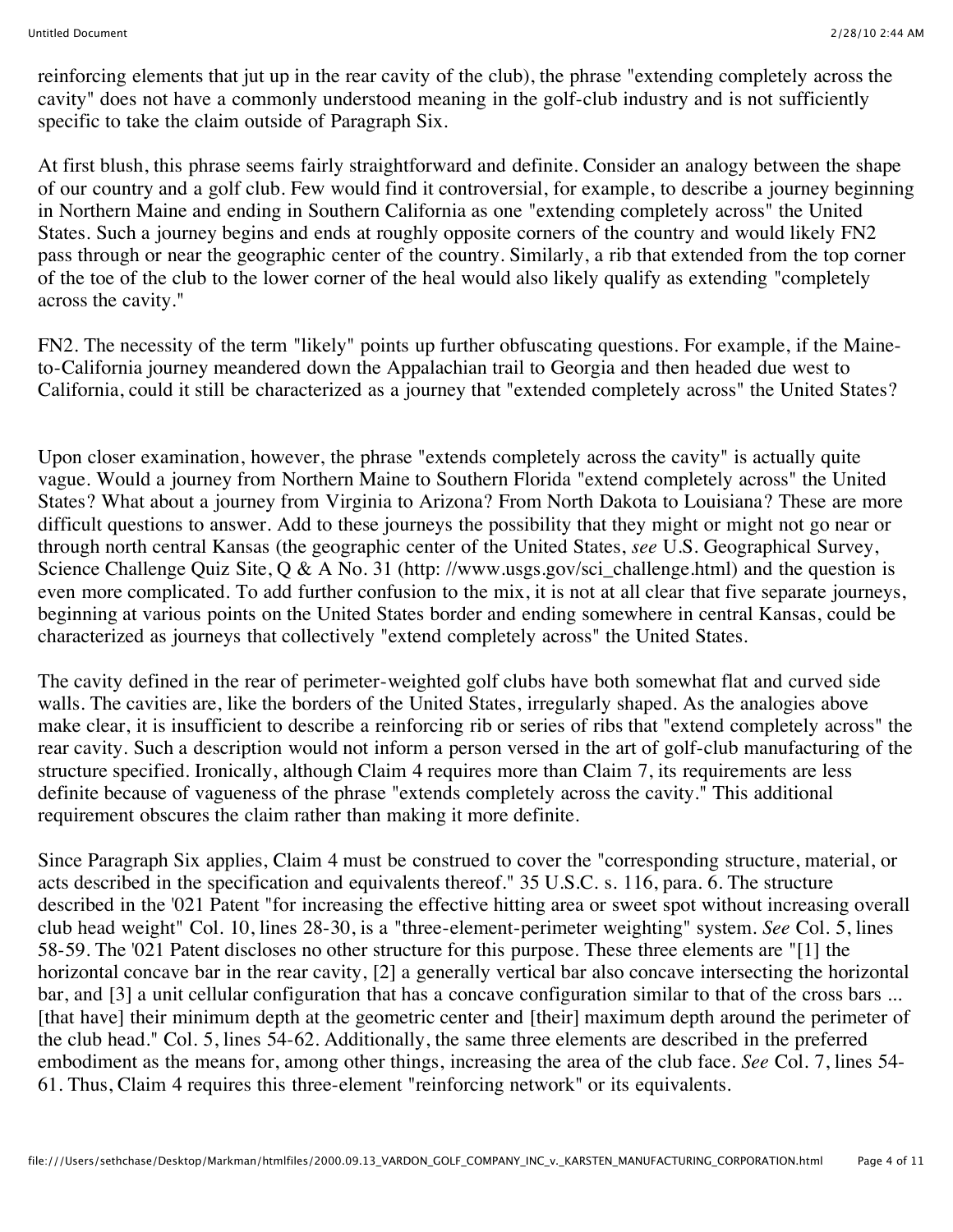reinforcing elements that jut up in the rear cavity of the club), the phrase "extending completely across the cavity" does not have a commonly understood meaning in the golf-club industry and is not sufficiently specific to take the claim outside of Paragraph Six.

At first blush, this phrase seems fairly straightforward and definite. Consider an analogy between the shape of our country and a golf club. Few would find it controversial, for example, to describe a journey beginning in Northern Maine and ending in Southern California as one "extending completely across" the United States. Such a journey begins and ends at roughly opposite corners of the country and would likely FN2 pass through or near the geographic center of the country. Similarly, a rib that extended from the top corner of the toe of the club to the lower corner of the heal would also likely qualify as extending "completely across the cavity."

FN2. The necessity of the term "likely" points up further obfuscating questions. For example, if the Maineto-California journey meandered down the Appalachian trail to Georgia and then headed due west to California, could it still be characterized as a journey that "extended completely across" the United States?

Upon closer examination, however, the phrase "extends completely across the cavity" is actually quite vague. Would a journey from Northern Maine to Southern Florida "extend completely across" the United States? What about a journey from Virginia to Arizona? From North Dakota to Louisiana? These are more difficult questions to answer. Add to these journeys the possibility that they might or might not go near or through north central Kansas (the geographic center of the United States, *see* U.S. Geographical Survey, Science Challenge Quiz Site, Q & A No. 31 (http://www.usgs.gov/sci\_challenge.html) and the question is even more complicated. To add further confusion to the mix, it is not at all clear that five separate journeys, beginning at various points on the United States border and ending somewhere in central Kansas, could be characterized as journeys that collectively "extend completely across" the United States.

The cavity defined in the rear of perimeter-weighted golf clubs have both somewhat flat and curved side walls. The cavities are, like the borders of the United States, irregularly shaped. As the analogies above make clear, it is insufficient to describe a reinforcing rib or series of ribs that "extend completely across" the rear cavity. Such a description would not inform a person versed in the art of golf-club manufacturing of the structure specified. Ironically, although Claim 4 requires more than Claim 7, its requirements are less definite because of vagueness of the phrase "extends completely across the cavity." This additional requirement obscures the claim rather than making it more definite.

Since Paragraph Six applies, Claim 4 must be construed to cover the "corresponding structure, material, or acts described in the specification and equivalents thereof." 35 U.S.C. s. 116, para. 6. The structure described in the '021 Patent "for increasing the effective hitting area or sweet spot without increasing overall club head weight" Col. 10, lines 28-30, is a "three-element-perimeter weighting" system. *See* Col. 5, lines 58-59. The '021 Patent discloses no other structure for this purpose. These three elements are "[1] the horizontal concave bar in the rear cavity, [2] a generally vertical bar also concave intersecting the horizontal bar, and [3] a unit cellular configuration that has a concave configuration similar to that of the cross bars ... [that have] their minimum depth at the geometric center and [their] maximum depth around the perimeter of the club head." Col. 5, lines 54-62. Additionally, the same three elements are described in the preferred embodiment as the means for, among other things, increasing the area of the club face. *See* Col. 7, lines 54- 61. Thus, Claim 4 requires this three-element "reinforcing network" or its equivalents.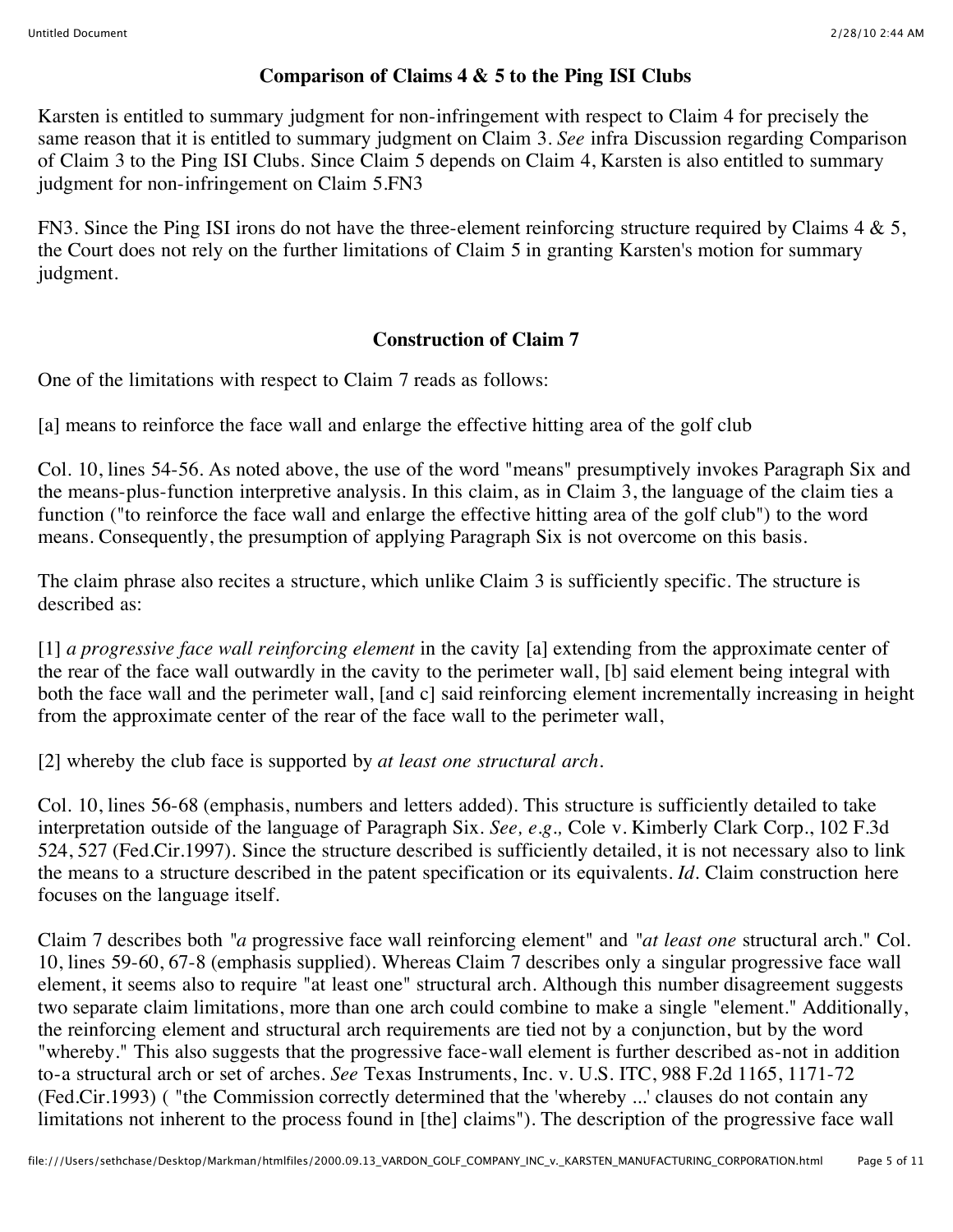## **Comparison of Claims 4 & 5 to the Ping ISI Clubs**

Karsten is entitled to summary judgment for non-infringement with respect to Claim 4 for precisely the same reason that it is entitled to summary judgment on Claim 3. *See* infra Discussion regarding Comparison of Claim 3 to the Ping ISI Clubs. Since Claim 5 depends on Claim 4, Karsten is also entitled to summary judgment for non-infringement on Claim 5.FN3

FN3. Since the Ping ISI irons do not have the three-element reinforcing structure required by Claims 4 & 5, the Court does not rely on the further limitations of Claim 5 in granting Karsten's motion for summary judgment.

## **Construction of Claim 7**

One of the limitations with respect to Claim 7 reads as follows:

[a] means to reinforce the face wall and enlarge the effective hitting area of the golf club

Col. 10, lines 54-56. As noted above, the use of the word "means" presumptively invokes Paragraph Six and the means-plus-function interpretive analysis. In this claim, as in Claim 3, the language of the claim ties a function ("to reinforce the face wall and enlarge the effective hitting area of the golf club") to the word means. Consequently, the presumption of applying Paragraph Six is not overcome on this basis.

The claim phrase also recites a structure, which unlike Claim 3 is sufficiently specific. The structure is described as:

[1] *a progressive face wall reinforcing element* in the cavity [a] extending from the approximate center of the rear of the face wall outwardly in the cavity to the perimeter wall, [b] said element being integral with both the face wall and the perimeter wall, [and c] said reinforcing element incrementally increasing in height from the approximate center of the rear of the face wall to the perimeter wall,

[2] whereby the club face is supported by *at least one structural arch.*

Col. 10, lines 56-68 (emphasis, numbers and letters added). This structure is sufficiently detailed to take interpretation outside of the language of Paragraph Six. *See, e.g.,* Cole v. Kimberly Clark Corp., 102 F.3d 524, 527 (Fed.Cir.1997). Since the structure described is sufficiently detailed, it is not necessary also to link the means to a structure described in the patent specification or its equivalents. *Id.* Claim construction here focuses on the language itself.

Claim 7 describes both *"a* progressive face wall reinforcing element" and *"at least one* structural arch." Col. 10, lines 59-60, 67-8 (emphasis supplied). Whereas Claim 7 describes only a singular progressive face wall element, it seems also to require "at least one" structural arch. Although this number disagreement suggests two separate claim limitations, more than one arch could combine to make a single "element." Additionally, the reinforcing element and structural arch requirements are tied not by a conjunction, but by the word "whereby." This also suggests that the progressive face-wall element is further described as-not in addition to-a structural arch or set of arches. *See* Texas Instruments, Inc. v. U.S. ITC, 988 F.2d 1165, 1171-72 (Fed.Cir.1993) ( "the Commission correctly determined that the 'whereby ...' clauses do not contain any limitations not inherent to the process found in [the] claims"). The description of the progressive face wall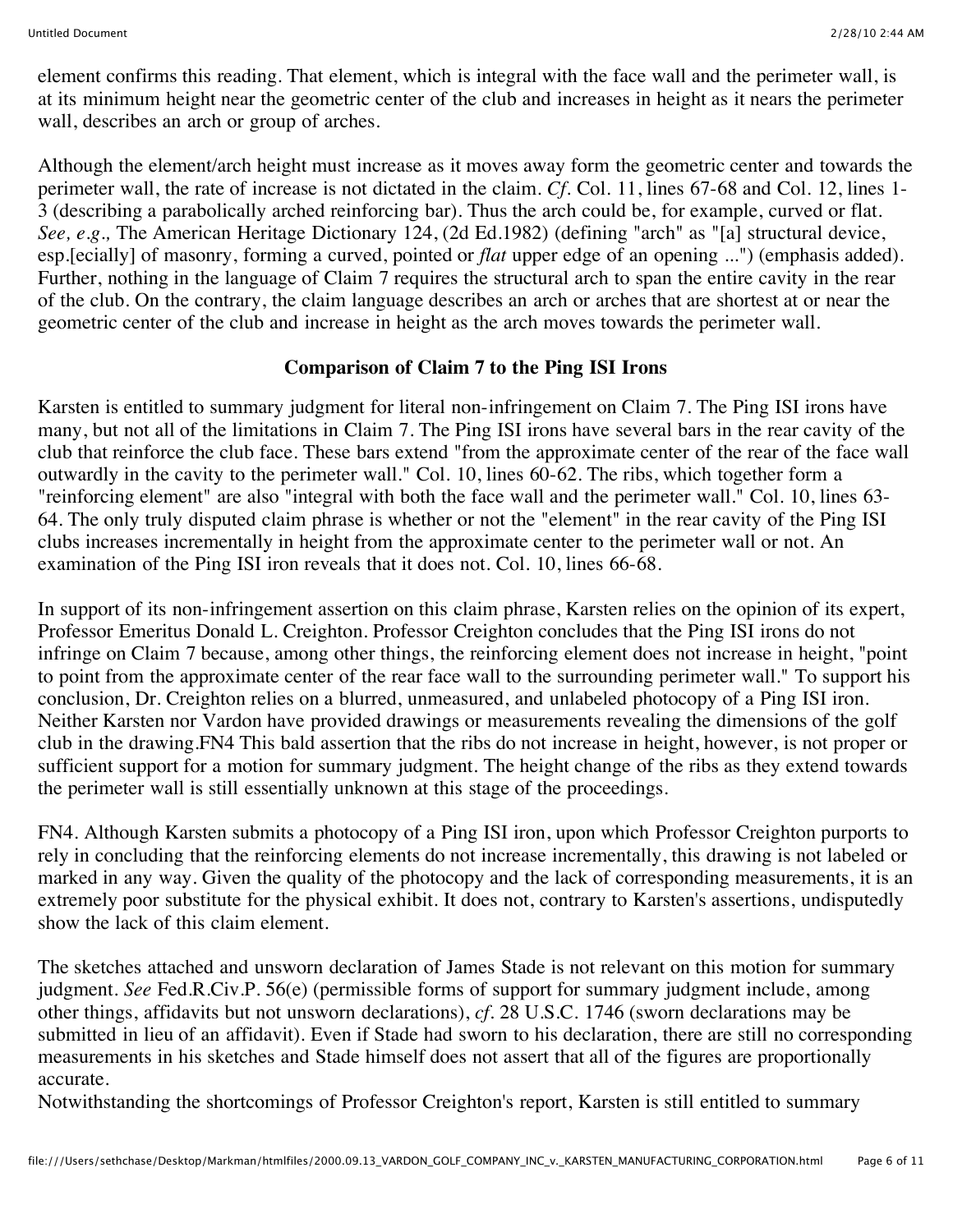element confirms this reading. That element, which is integral with the face wall and the perimeter wall, is at its minimum height near the geometric center of the club and increases in height as it nears the perimeter wall, describes an arch or group of arches.

Although the element/arch height must increase as it moves away form the geometric center and towards the perimeter wall, the rate of increase is not dictated in the claim. *Cf.* Col. 11, lines 67-68 and Col. 12, lines 1- 3 (describing a parabolically arched reinforcing bar). Thus the arch could be, for example, curved or flat. *See, e.g.,* The American Heritage Dictionary 124, (2d Ed.1982) (defining "arch" as "[a] structural device, esp.[ecially] of masonry, forming a curved, pointed or *flat* upper edge of an opening ...") (emphasis added). Further, nothing in the language of Claim 7 requires the structural arch to span the entire cavity in the rear of the club. On the contrary, the claim language describes an arch or arches that are shortest at or near the geometric center of the club and increase in height as the arch moves towards the perimeter wall.

## **Comparison of Claim 7 to the Ping ISI Irons**

Karsten is entitled to summary judgment for literal non-infringement on Claim 7. The Ping ISI irons have many, but not all of the limitations in Claim 7. The Ping ISI irons have several bars in the rear cavity of the club that reinforce the club face. These bars extend "from the approximate center of the rear of the face wall outwardly in the cavity to the perimeter wall." Col. 10, lines 60-62. The ribs, which together form a "reinforcing element" are also "integral with both the face wall and the perimeter wall." Col. 10, lines 63- 64. The only truly disputed claim phrase is whether or not the "element" in the rear cavity of the Ping ISI clubs increases incrementally in height from the approximate center to the perimeter wall or not. An examination of the Ping ISI iron reveals that it does not. Col. 10, lines 66-68.

In support of its non-infringement assertion on this claim phrase, Karsten relies on the opinion of its expert, Professor Emeritus Donald L. Creighton. Professor Creighton concludes that the Ping ISI irons do not infringe on Claim 7 because, among other things, the reinforcing element does not increase in height, "point to point from the approximate center of the rear face wall to the surrounding perimeter wall." To support his conclusion, Dr. Creighton relies on a blurred, unmeasured, and unlabeled photocopy of a Ping ISI iron. Neither Karsten nor Vardon have provided drawings or measurements revealing the dimensions of the golf club in the drawing.FN4 This bald assertion that the ribs do not increase in height, however, is not proper or sufficient support for a motion for summary judgment. The height change of the ribs as they extend towards the perimeter wall is still essentially unknown at this stage of the proceedings.

FN4. Although Karsten submits a photocopy of a Ping ISI iron, upon which Professor Creighton purports to rely in concluding that the reinforcing elements do not increase incrementally, this drawing is not labeled or marked in any way. Given the quality of the photocopy and the lack of corresponding measurements, it is an extremely poor substitute for the physical exhibit. It does not, contrary to Karsten's assertions, undisputedly show the lack of this claim element.

The sketches attached and unsworn declaration of James Stade is not relevant on this motion for summary judgment. *See* Fed.R.Civ.P. 56(e) (permissible forms of support for summary judgment include, among other things, affidavits but not unsworn declarations), *cf.* 28 U.S.C. 1746 (sworn declarations may be submitted in lieu of an affidavit). Even if Stade had sworn to his declaration, there are still no corresponding measurements in his sketches and Stade himself does not assert that all of the figures are proportionally accurate.

Notwithstanding the shortcomings of Professor Creighton's report, Karsten is still entitled to summary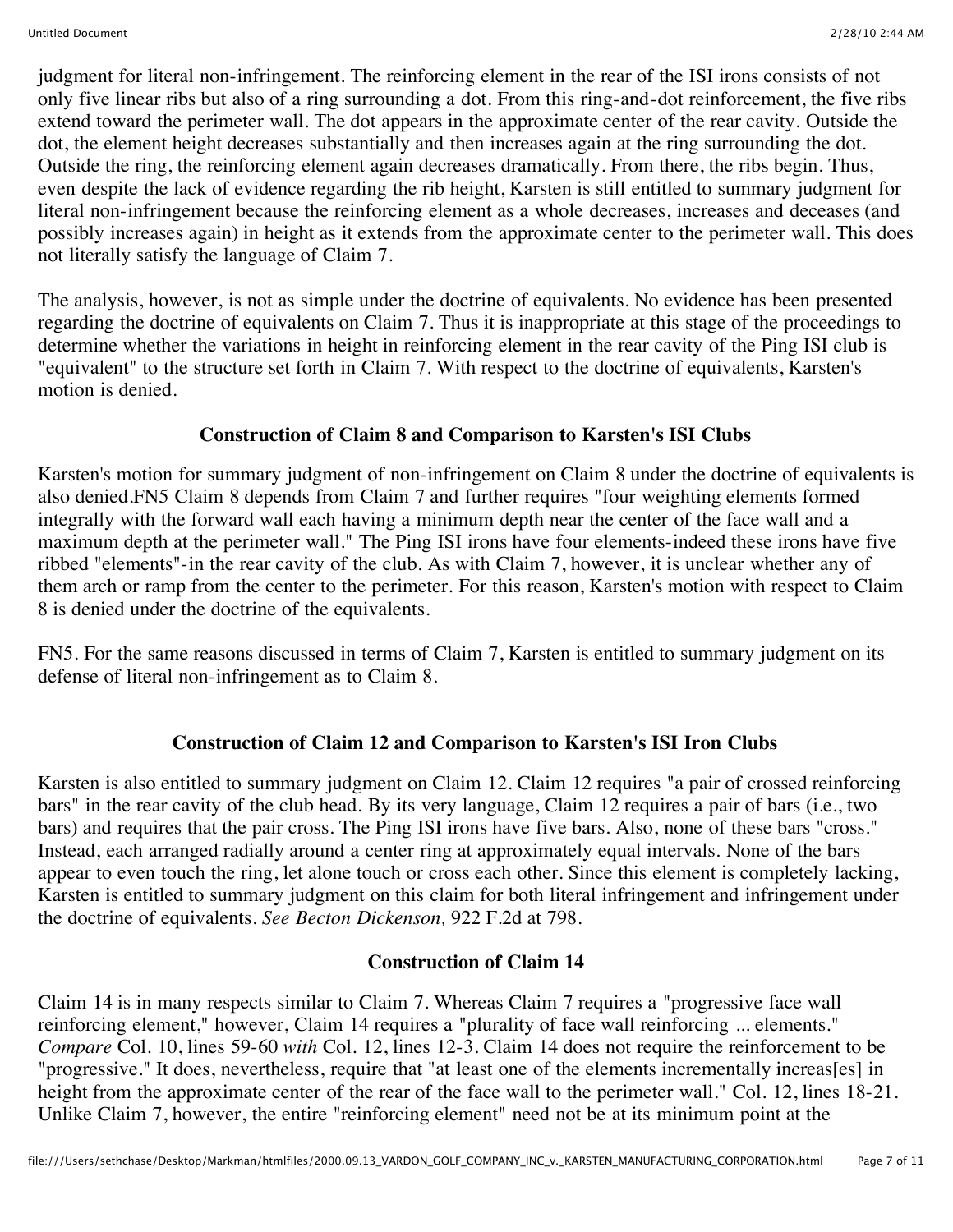judgment for literal non-infringement. The reinforcing element in the rear of the ISI irons consists of not only five linear ribs but also of a ring surrounding a dot. From this ring-and-dot reinforcement, the five ribs extend toward the perimeter wall. The dot appears in the approximate center of the rear cavity. Outside the dot, the element height decreases substantially and then increases again at the ring surrounding the dot. Outside the ring, the reinforcing element again decreases dramatically. From there, the ribs begin. Thus, even despite the lack of evidence regarding the rib height, Karsten is still entitled to summary judgment for literal non-infringement because the reinforcing element as a whole decreases, increases and deceases (and possibly increases again) in height as it extends from the approximate center to the perimeter wall. This does not literally satisfy the language of Claim 7.

The analysis, however, is not as simple under the doctrine of equivalents. No evidence has been presented regarding the doctrine of equivalents on Claim 7. Thus it is inappropriate at this stage of the proceedings to determine whether the variations in height in reinforcing element in the rear cavity of the Ping ISI club is "equivalent" to the structure set forth in Claim 7. With respect to the doctrine of equivalents, Karsten's motion is denied.

## **Construction of Claim 8 and Comparison to Karsten's ISI Clubs**

Karsten's motion for summary judgment of non-infringement on Claim 8 under the doctrine of equivalents is also denied.FN5 Claim 8 depends from Claim 7 and further requires "four weighting elements formed integrally with the forward wall each having a minimum depth near the center of the face wall and a maximum depth at the perimeter wall." The Ping ISI irons have four elements-indeed these irons have five ribbed "elements"-in the rear cavity of the club. As with Claim 7, however, it is unclear whether any of them arch or ramp from the center to the perimeter. For this reason, Karsten's motion with respect to Claim 8 is denied under the doctrine of the equivalents.

FN5. For the same reasons discussed in terms of Claim 7, Karsten is entitled to summary judgment on its defense of literal non-infringement as to Claim 8.

# **Construction of Claim 12 and Comparison to Karsten's ISI Iron Clubs**

Karsten is also entitled to summary judgment on Claim 12. Claim 12 requires "a pair of crossed reinforcing bars" in the rear cavity of the club head. By its very language, Claim 12 requires a pair of bars (i.e., two bars) and requires that the pair cross. The Ping ISI irons have five bars. Also, none of these bars "cross." Instead, each arranged radially around a center ring at approximately equal intervals. None of the bars appear to even touch the ring, let alone touch or cross each other. Since this element is completely lacking, Karsten is entitled to summary judgment on this claim for both literal infringement and infringement under the doctrine of equivalents. *See Becton Dickenson,* 922 F.2d at 798.

# **Construction of Claim 14**

Claim 14 is in many respects similar to Claim 7. Whereas Claim 7 requires a "progressive face wall reinforcing element," however, Claim 14 requires a "plurality of face wall reinforcing ... elements." *Compare* Col. 10, lines 59-60 *with* Col. 12, lines 12-3. Claim 14 does not require the reinforcement to be "progressive." It does, nevertheless, require that "at least one of the elements incrementally increas[es] in height from the approximate center of the rear of the face wall to the perimeter wall." Col. 12, lines 18-21. Unlike Claim 7, however, the entire "reinforcing element" need not be at its minimum point at the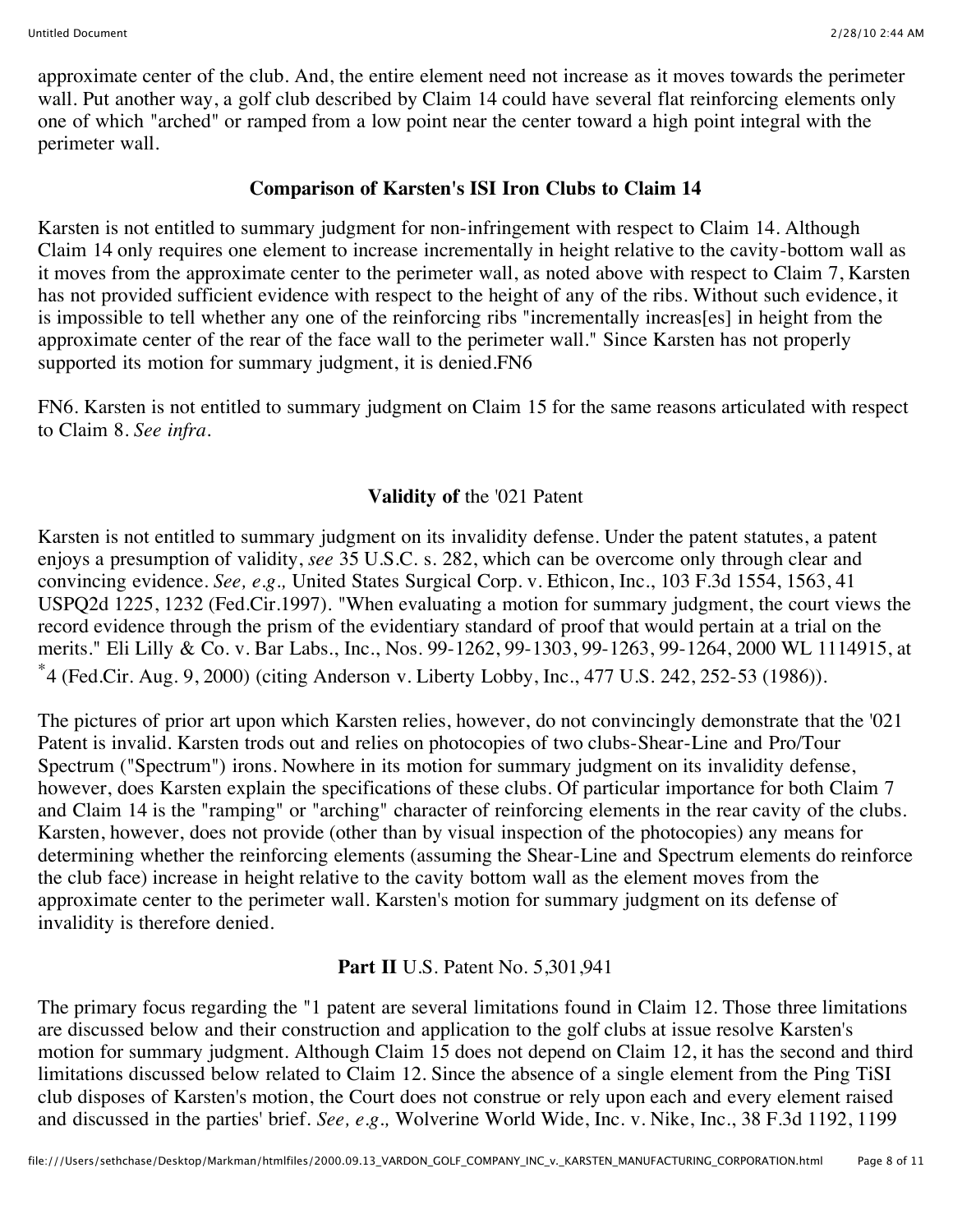approximate center of the club. And, the entire element need not increase as it moves towards the perimeter wall. Put another way, a golf club described by Claim 14 could have several flat reinforcing elements only one of which "arched" or ramped from a low point near the center toward a high point integral with the perimeter wall.

## **Comparison of Karsten's ISI Iron Clubs to Claim 14**

Karsten is not entitled to summary judgment for non-infringement with respect to Claim 14. Although Claim 14 only requires one element to increase incrementally in height relative to the cavity-bottom wall as it moves from the approximate center to the perimeter wall, as noted above with respect to Claim 7, Karsten has not provided sufficient evidence with respect to the height of any of the ribs. Without such evidence, it is impossible to tell whether any one of the reinforcing ribs "incrementally increas[es] in height from the approximate center of the rear of the face wall to the perimeter wall." Since Karsten has not properly supported its motion for summary judgment, it is denied. FN6

FN6. Karsten is not entitled to summary judgment on Claim 15 for the same reasons articulated with respect to Claim 8. *See infra.*

# **Validity of** the '021 Patent

Karsten is not entitled to summary judgment on its invalidity defense. Under the patent statutes, a patent enjoys a presumption of validity, *see* 35 U.S.C. s. 282, which can be overcome only through clear and convincing evidence. *See, e.g.,* United States Surgical Corp. v. Ethicon, Inc., 103 F.3d 1554, 1563, 41 USPQ2d 1225, 1232 (Fed.Cir.1997). "When evaluating a motion for summary judgment, the court views the record evidence through the prism of the evidentiary standard of proof that would pertain at a trial on the merits." Eli Lilly & Co. v. Bar Labs., Inc., Nos. 99-1262, 99-1303, 99-1263, 99-1264, 2000 WL 1114915, at \*4 (Fed.Cir. Aug. 9, 2000) (citing Anderson v. Liberty Lobby, Inc., 477 U.S. 242, 252-53 (1986)).

The pictures of prior art upon which Karsten relies, however, do not convincingly demonstrate that the '021 Patent is invalid. Karsten trods out and relies on photocopies of two clubs-Shear-Line and Pro/Tour Spectrum ("Spectrum") irons. Nowhere in its motion for summary judgment on its invalidity defense, however, does Karsten explain the specifications of these clubs. Of particular importance for both Claim 7 and Claim 14 is the "ramping" or "arching" character of reinforcing elements in the rear cavity of the clubs. Karsten, however, does not provide (other than by visual inspection of the photocopies) any means for determining whether the reinforcing elements (assuming the Shear-Line and Spectrum elements do reinforce the club face) increase in height relative to the cavity bottom wall as the element moves from the approximate center to the perimeter wall. Karsten's motion for summary judgment on its defense of invalidity is therefore denied.

# **Part II** U.S. Patent No. 5,301,941

The primary focus regarding the "1 patent are several limitations found in Claim 12. Those three limitations are discussed below and their construction and application to the golf clubs at issue resolve Karsten's motion for summary judgment. Although Claim 15 does not depend on Claim 12, it has the second and third limitations discussed below related to Claim 12. Since the absence of a single element from the Ping TiSI club disposes of Karsten's motion, the Court does not construe or rely upon each and every element raised and discussed in the parties' brief. *See, e.g.,* Wolverine World Wide, Inc. v. Nike, Inc., 38 F.3d 1192, 1199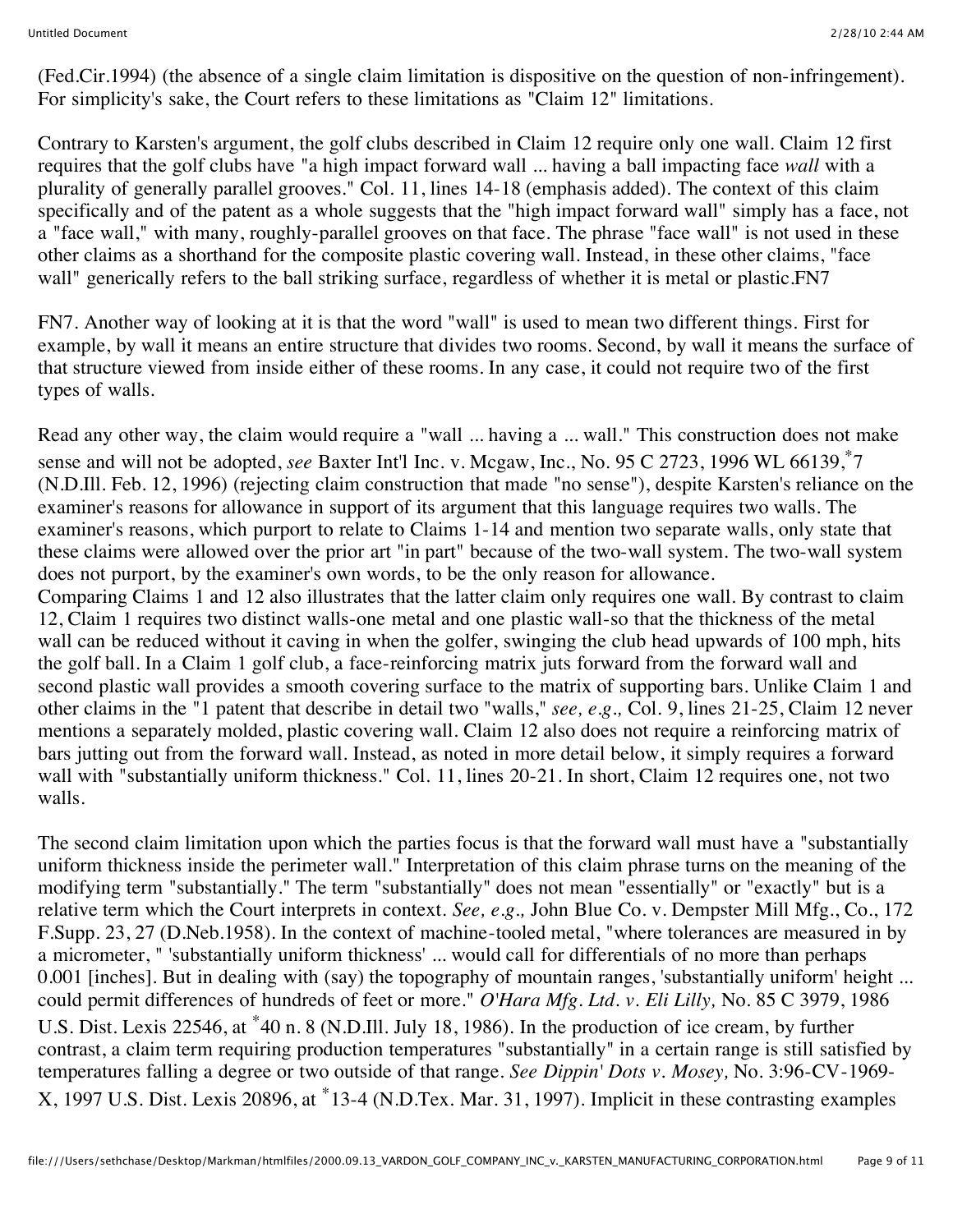(Fed.Cir.1994) (the absence of a single claim limitation is dispositive on the question of non-infringement). For simplicity's sake, the Court refers to these limitations as "Claim 12" limitations.

Contrary to Karsten's argument, the golf clubs described in Claim 12 require only one wall. Claim 12 first requires that the golf clubs have "a high impact forward wall ... having a ball impacting face *wall* with a plurality of generally parallel grooves." Col. 11, lines 14-18 (emphasis added). The context of this claim specifically and of the patent as a whole suggests that the "high impact forward wall" simply has a face, not a "face wall," with many, roughly-parallel grooves on that face. The phrase "face wall" is not used in these other claims as a shorthand for the composite plastic covering wall. Instead, in these other claims, "face wall" generically refers to the ball striking surface, regardless of whether it is metal or plastic.FN7

FN7. Another way of looking at it is that the word "wall" is used to mean two different things. First for example, by wall it means an entire structure that divides two rooms. Second, by wall it means the surface of that structure viewed from inside either of these rooms. In any case, it could not require two of the first types of walls.

Read any other way, the claim would require a "wall ... having a ... wall." This construction does not make sense and will not be adopted, *see* Baxter Int'l Inc. v. Mcgaw, Inc., No. 95 C 2723, 1996 WL 66139,\*7 (N.D.Ill. Feb. 12, 1996) (rejecting claim construction that made "no sense"), despite Karsten's reliance on the examiner's reasons for allowance in support of its argument that this language requires two walls. The examiner's reasons, which purport to relate to Claims 1-14 and mention two separate walls, only state that these claims were allowed over the prior art "in part" because of the two-wall system. The two-wall system does not purport, by the examiner's own words, to be the only reason for allowance. Comparing Claims 1 and 12 also illustrates that the latter claim only requires one wall. By contrast to claim 12, Claim 1 requires two distinct walls-one metal and one plastic wall-so that the thickness of the metal wall can be reduced without it caving in when the golfer, swinging the club head upwards of 100 mph, hits the golf ball. In a Claim 1 golf club, a face-reinforcing matrix juts forward from the forward wall and second plastic wall provides a smooth covering surface to the matrix of supporting bars. Unlike Claim 1 and other claims in the "1 patent that describe in detail two "walls," *see, e.g.,* Col. 9, lines 21-25, Claim 12 never mentions a separately molded, plastic covering wall. Claim 12 also does not require a reinforcing matrix of bars jutting out from the forward wall. Instead, as noted in more detail below, it simply requires a forward wall with "substantially uniform thickness." Col. 11, lines 20-21. In short, Claim 12 requires one, not two

The second claim limitation upon which the parties focus is that the forward wall must have a "substantially uniform thickness inside the perimeter wall." Interpretation of this claim phrase turns on the meaning of the modifying term "substantially." The term "substantially" does not mean "essentially" or "exactly" but is a relative term which the Court interprets in context. *See, e.g.,* John Blue Co. v. Dempster Mill Mfg., Co., 172 F.Supp. 23, 27 (D.Neb.1958). In the context of machine-tooled metal, "where tolerances are measured in by a micrometer, " 'substantially uniform thickness' ... would call for differentials of no more than perhaps 0.001 [inches]. But in dealing with (say) the topography of mountain ranges, 'substantially uniform' height ... could permit differences of hundreds of feet or more." *O'Hara Mfg. Ltd. v. Eli Lilly,* No. 85 C 3979, 1986 U.S. Dist. Lexis 22546, at \*40 n. 8 (N.D.Ill. July 18, 1986). In the production of ice cream, by further contrast, a claim term requiring production temperatures "substantially" in a certain range is still satisfied by temperatures falling a degree or two outside of that range. *See Dippin' Dots v. Mosey,* No. 3:96-CV-1969- X, 1997 U.S. Dist. Lexis 20896, at \*13-4 (N.D.Tex. Mar. 31, 1997). Implicit in these contrasting examples

walls.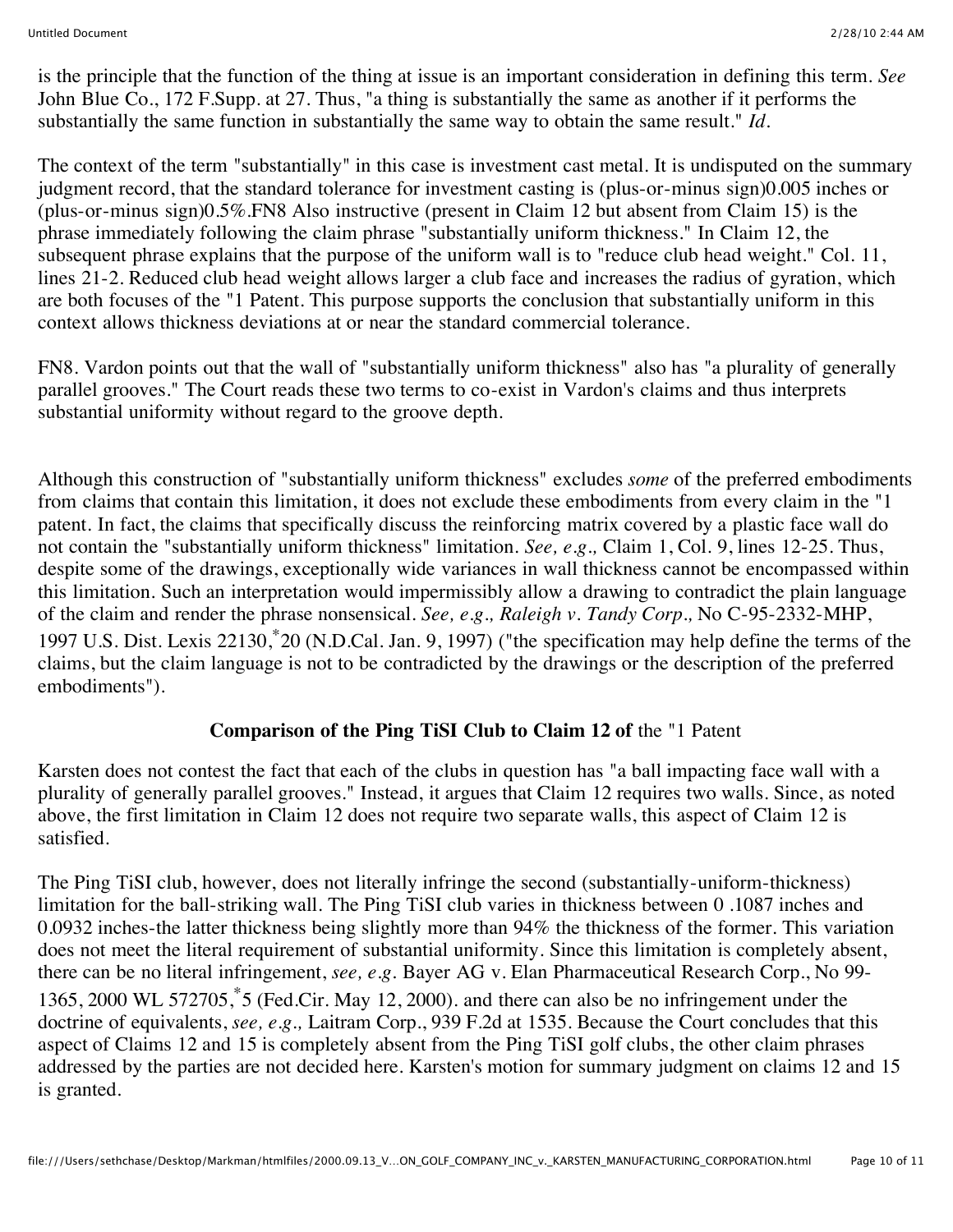is the principle that the function of the thing at issue is an important consideration in defining this term. *See* John Blue Co., 172 F.Supp. at 27. Thus, "a thing is substantially the same as another if it performs the substantially the same function in substantially the same way to obtain the same result." *Id.*

The context of the term "substantially" in this case is investment cast metal. It is undisputed on the summary judgment record, that the standard tolerance for investment casting is (plus-or-minus sign)0.005 inches or (plus-or-minus sign)0.5%.FN8 Also instructive (present in Claim 12 but absent from Claim 15) is the phrase immediately following the claim phrase "substantially uniform thickness." In Claim 12, the subsequent phrase explains that the purpose of the uniform wall is to "reduce club head weight." Col. 11, lines 21-2. Reduced club head weight allows larger a club face and increases the radius of gyration, which are both focuses of the "1 Patent. This purpose supports the conclusion that substantially uniform in this context allows thickness deviations at or near the standard commercial tolerance.

FN8. Vardon points out that the wall of "substantially uniform thickness" also has "a plurality of generally parallel grooves." The Court reads these two terms to co-exist in Vardon's claims and thus interprets substantial uniformity without regard to the groove depth.

Although this construction of "substantially uniform thickness" excludes *some* of the preferred embodiments from claims that contain this limitation, it does not exclude these embodiments from every claim in the "1 patent. In fact, the claims that specifically discuss the reinforcing matrix covered by a plastic face wall do not contain the "substantially uniform thickness" limitation. *See, e.g.,* Claim 1, Col. 9, lines 12-25. Thus, despite some of the drawings, exceptionally wide variances in wall thickness cannot be encompassed within this limitation. Such an interpretation would impermissibly allow a drawing to contradict the plain language of the claim and render the phrase nonsensical. *See, e.g., Raleigh v. Tandy Corp.,* No C-95-2332-MHP, 1997 U.S. Dist. Lexis 22130,\*20 (N.D.Cal. Jan. 9, 1997) ("the specification may help define the terms of the claims, but the claim language is not to be contradicted by the drawings or the description of the preferred embodiments").

## **Comparison of the Ping TiSI Club to Claim 12 of the "1 Patent"**

Karsten does not contest the fact that each of the clubs in question has "a ball impacting face wall with a plurality of generally parallel grooves." Instead, it argues that Claim 12 requires two walls. Since, as noted above, the first limitation in Claim 12 does not require two separate walls, this aspect of Claim 12 is satisfied.

The Ping TiSI club, however, does not literally infringe the second (substantially-uniform-thickness) limitation for the ball-striking wall. The Ping TiSI club varies in thickness between 0 .1087 inches and 0.0932 inches-the latter thickness being slightly more than 94% the thickness of the former. This variation does not meet the literal requirement of substantial uniformity. Since this limitation is completely absent, there can be no literal infringement, *see, e.g.* Bayer AG v. Elan Pharmaceutical Research Corp., No 99- 1365, 2000 WL 572705,\*5 (Fed.Cir. May 12, 2000). and there can also be no infringement under the doctrine of equivalents, *see, e.g.,* Laitram Corp., 939 F.2d at 1535. Because the Court concludes that this aspect of Claims 12 and 15 is completely absent from the Ping TiSI golf clubs, the other claim phrases addressed by the parties are not decided here. Karsten's motion for summary judgment on claims 12 and 15 is granted.